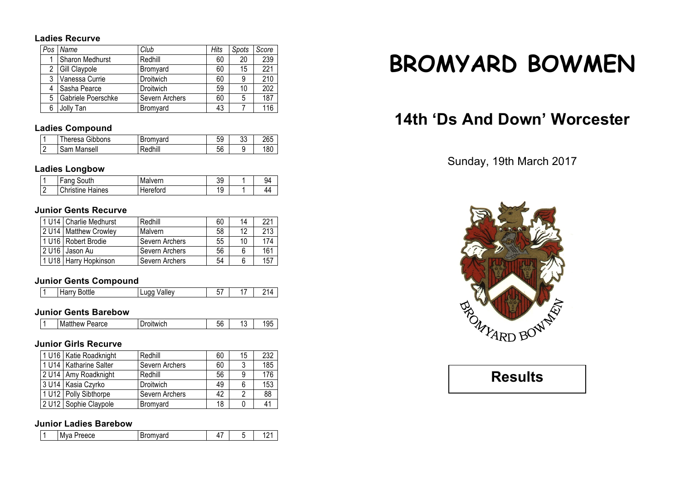#### **Ladies Recurve**

| Pos            | Name               | Club           | Hits | Spots | Score            |
|----------------|--------------------|----------------|------|-------|------------------|
|                | Sharon Medhurst    | Redhill        | 60   | 20    | 239              |
| $\overline{2}$ | Gill Claypole      | Bromyard       | 60   | 15    | 221              |
| 3              | Vanessa Currie     | Droitwich      | 60   | 9     | 210              |
| 4              | Sasha Pearce       | Droitwich      | 59   | 10    | $\overline{202}$ |
| 5              | Gabriele Poerschke | Severn Archers | 60   | 5     | 187              |
| 6              | Jolly Tan          | Bromyard       | 43   |       | 116              |

## **Ladies Compound**

|          | Gibbons<br>าeresa        | $r_{\rm A}$ mund<br>н | 59       | nn<br>υu | OCE |
|----------|--------------------------|-----------------------|----------|----------|-----|
| <u>.</u> | Mansell<br>$\sim$<br>oan |                       | -^<br>ჂႩ | . .      | 180 |

## **Ladies Longbow**

| South<br>Fang           | Malvern  | 39       | $Q_4$ |
|-------------------------|----------|----------|-------|
| <b>Christine Haines</b> | Hereford | C<br>ت ، | Δ4    |

## **Junior Gents Recurve**

|       | 1 U14   Charlie Medhurst | Redhill        | 60 | 14 | 221 |
|-------|--------------------------|----------------|----|----|-----|
|       | 2 U14   Matthew Crowley  | Malvern        | 58 | 12 | 213 |
|       | 1 U16   Robert Brodie    | Severn Archers | 55 | 10 | 174 |
| 2 U16 | Jason Au                 | Severn Archers | 56 | 6  | 161 |
|       | 1 U18   Harry Hopkinson  | Severn Archers | 54 | 6  | 157 |

## **Junior Gents Compound**

## **Junior Gents Barebow**

| <b>Matthew Pearce</b><br>roitwich. | $ \sim$<br>nn<br>. .<br>Ju | u | 10F<br>ں ت |
|------------------------------------|----------------------------|---|------------|
|------------------------------------|----------------------------|---|------------|

## **Junior Girls Recurve**

| 1 U16   Katie Roadknight | Redhill        | 60 | 15 | 232 |
|--------------------------|----------------|----|----|-----|
| 1 U14   Katharine Salter | Severn Archers | 60 |    | 185 |
| 2 U14   Amy Roadknight   | Redhill        | 56 | 9  | 176 |
| 3 U14   Kasia Czyrko     | Droitwich      | 49 | 6  | 153 |
| 1 U12 Polly Sibthorpe    | Severn Archers | 42 | っ  | 88  |
| 2 U12 Sophie Claypole    | Bromyard       | 18 |    | 41  |

## **Junior Ladies Barebow**

| <br>N<br>JUU.<br>.<br><br> | -<br>. . |  | $\overline{\phantom{a}}$<br>. . |  |
|----------------------------|----------|--|---------------------------------|--|
|----------------------------|----------|--|---------------------------------|--|

# **BROMYARD BOWMEN**

## **14th 'Ds And Down' Worcester**

## Sunday, 19th March 2017



**Results**